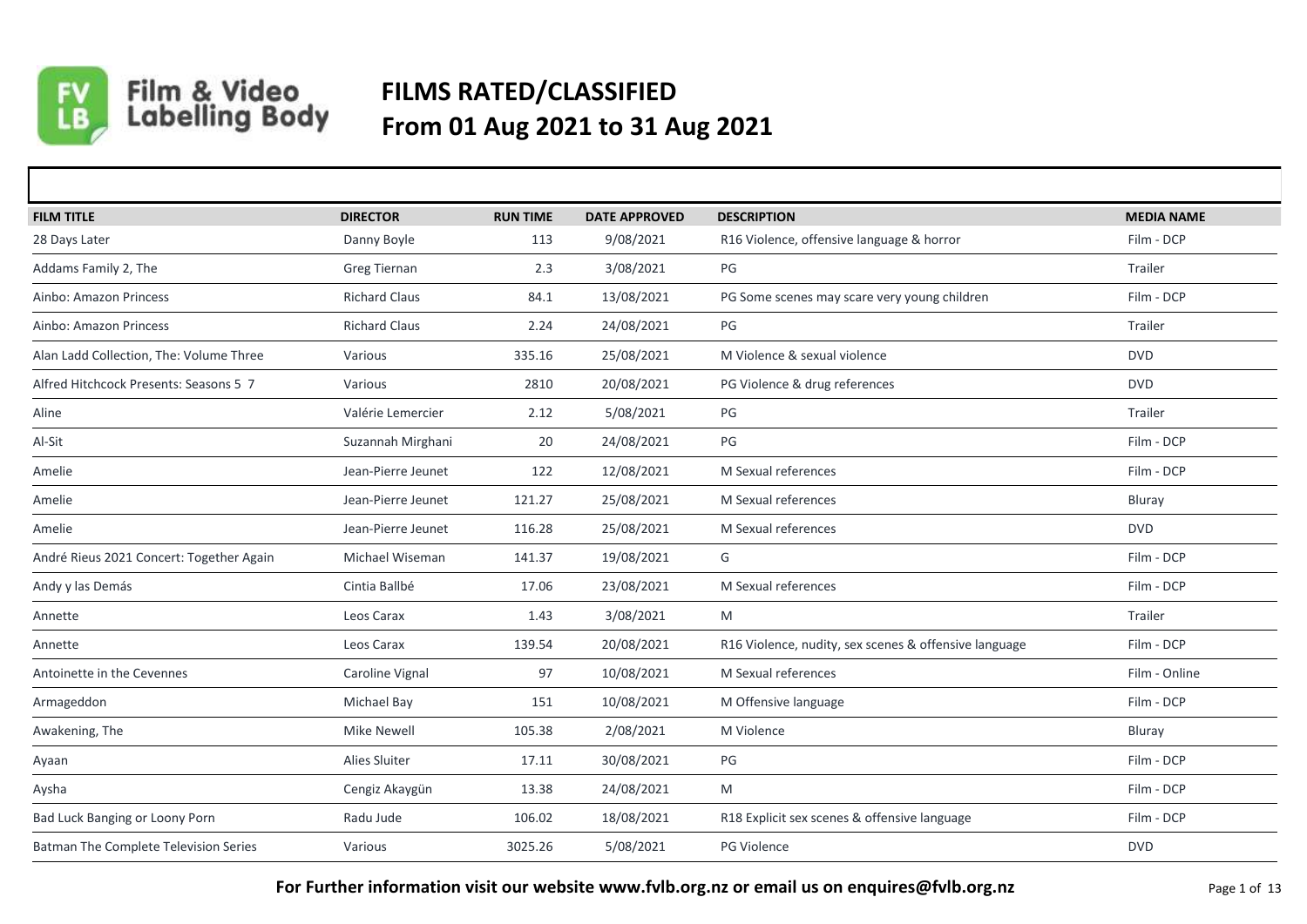

## Film & Video<br>Labelling Body **FILMS RATED/CLASSIFIED From 01 Aug 2021 to 31 Aug 2021**

| <b>FILM TITLE</b>                        | <b>DIRECTOR</b>      | <b>RUN TIME</b> | <b>DATE APPROVED</b> | <b>DESCRIPTION</b>                                    | <b>MEDIA NAME</b> |
|------------------------------------------|----------------------|-----------------|----------------------|-------------------------------------------------------|-------------------|
| 28 Days Later                            | Danny Boyle          | 113             | 9/08/2021            | R16 Violence, offensive language & horror             | Film - DCP        |
| Addams Family 2, The                     | Greg Tiernan         | 2.3             | 3/08/2021            | PG                                                    | Trailer           |
| Ainbo: Amazon Princess                   | <b>Richard Claus</b> | 84.1            | 13/08/2021           | PG Some scenes may scare very young children          | Film - DCP        |
| Ainbo: Amazon Princess                   | <b>Richard Claus</b> | 2.24            | 24/08/2021           | PG                                                    | Trailer           |
| Alan Ladd Collection, The: Volume Three  | Various              | 335.16          | 25/08/2021           | M Violence & sexual violence                          | <b>DVD</b>        |
| Alfred Hitchcock Presents: Seasons 5 7   | Various              | 2810            | 20/08/2021           | PG Violence & drug references                         | <b>DVD</b>        |
| Aline                                    | Valérie Lemercier    | 2.12            | 5/08/2021            | PG                                                    | Trailer           |
| Al-Sit                                   | Suzannah Mirghani    | 20              | 24/08/2021           | PG                                                    | Film - DCP        |
| Amelie                                   | Jean-Pierre Jeunet   | 122             | 12/08/2021           | M Sexual references                                   | Film - DCP        |
| Amelie                                   | Jean-Pierre Jeunet   | 121.27          | 25/08/2021           | M Sexual references                                   | Bluray            |
| Amelie                                   | Jean-Pierre Jeunet   | 116.28          | 25/08/2021           | M Sexual references                                   | <b>DVD</b>        |
| André Rieus 2021 Concert: Together Again | Michael Wiseman      | 141.37          | 19/08/2021           | G                                                     | Film - DCP        |
| Andy y las Demás                         | Cintia Ballbé        | 17.06           | 23/08/2021           | M Sexual references                                   | Film - DCP        |
| Annette                                  | Leos Carax           | 1.43            | 3/08/2021            | M                                                     | Trailer           |
| Annette                                  | Leos Carax           | 139.54          | 20/08/2021           | R16 Violence, nudity, sex scenes & offensive language | Film - DCP        |
| Antoinette in the Cevennes               | Caroline Vignal      | 97              | 10/08/2021           | M Sexual references                                   | Film - Online     |
| Armageddon                               | Michael Bay          | 151             | 10/08/2021           | M Offensive language                                  | Film - DCP        |
| Awakening, The                           | <b>Mike Newell</b>   | 105.38          | 2/08/2021            | M Violence                                            | Bluray            |
| Ayaan                                    | Alies Sluiter        | 17.11           | 30/08/2021           | PG                                                    | Film - DCP        |
| Aysha                                    | Cengiz Akaygün       | 13.38           | 24/08/2021           | M                                                     | Film - DCP        |
| Bad Luck Banging or Loony Porn           | Radu Jude            | 106.02          | 18/08/2021           | R18 Explicit sex scenes & offensive language          | Film - DCP        |
| Batman The Complete Television Series    | Various              | 3025.26         | 5/08/2021            | PG Violence                                           | <b>DVD</b>        |

**For Further information visit our website www.fvlb.org.nz or email us on enquires@fvlb.org.nz** Page 1 of 13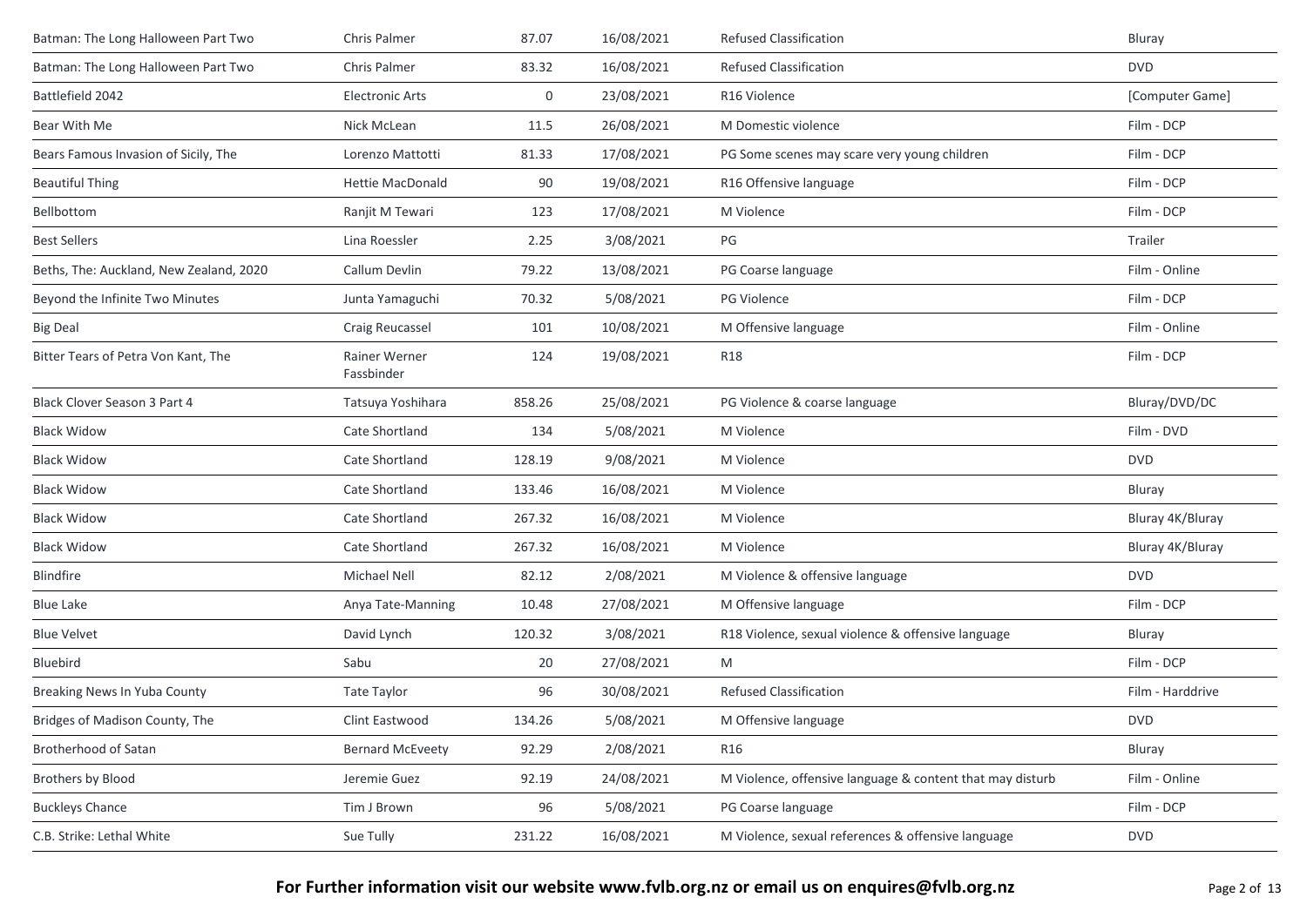| Batman: The Long Halloween Part Two     | Chris Palmer                | 87.07  | 16/08/2021 | <b>Refused Classification</b>                             | Bluray           |
|-----------------------------------------|-----------------------------|--------|------------|-----------------------------------------------------------|------------------|
| Batman: The Long Halloween Part Two     | <b>Chris Palmer</b>         | 83.32  | 16/08/2021 | <b>Refused Classification</b>                             | <b>DVD</b>       |
| Battlefield 2042                        | <b>Electronic Arts</b>      | 0      | 23/08/2021 | R16 Violence                                              | [Computer Game]  |
| Bear With Me                            | Nick McLean                 | 11.5   | 26/08/2021 | M Domestic violence                                       | Film - DCP       |
| Bears Famous Invasion of Sicily, The    | Lorenzo Mattotti            | 81.33  | 17/08/2021 | PG Some scenes may scare very young children              | Film - DCP       |
| <b>Beautiful Thing</b>                  | <b>Hettie MacDonald</b>     | 90     | 19/08/2021 | R16 Offensive language                                    | Film - DCP       |
| Bellbottom                              | Ranjit M Tewari             | 123    | 17/08/2021 | M Violence                                                | Film - DCP       |
| <b>Best Sellers</b>                     | Lina Roessler               | 2.25   | 3/08/2021  | PG                                                        | Trailer          |
| Beths, The: Auckland, New Zealand, 2020 | Callum Devlin               | 79.22  | 13/08/2021 | PG Coarse language                                        | Film - Online    |
| Beyond the Infinite Two Minutes         | Junta Yamaguchi             | 70.32  | 5/08/2021  | PG Violence                                               | Film - DCP       |
| <b>Big Deal</b>                         | Craig Reucassel             | 101    | 10/08/2021 | M Offensive language                                      | Film - Online    |
| Bitter Tears of Petra Von Kant, The     | Rainer Werner<br>Fassbinder | 124    | 19/08/2021 | <b>R18</b>                                                | Film - DCP       |
| Black Clover Season 3 Part 4            | Tatsuya Yoshihara           | 858.26 | 25/08/2021 | PG Violence & coarse language                             | Bluray/DVD/DC    |
| <b>Black Widow</b>                      | Cate Shortland              | 134    | 5/08/2021  | M Violence                                                | Film - DVD       |
| <b>Black Widow</b>                      | Cate Shortland              | 128.19 | 9/08/2021  | M Violence                                                | <b>DVD</b>       |
| <b>Black Widow</b>                      | Cate Shortland              | 133.46 | 16/08/2021 | M Violence                                                | Bluray           |
| <b>Black Widow</b>                      | Cate Shortland              | 267.32 | 16/08/2021 | M Violence                                                | Bluray 4K/Bluray |
| <b>Black Widow</b>                      | Cate Shortland              | 267.32 | 16/08/2021 | M Violence                                                | Bluray 4K/Bluray |
| <b>Blindfire</b>                        | <b>Michael Nell</b>         | 82.12  | 2/08/2021  | M Violence & offensive language                           | <b>DVD</b>       |
| <b>Blue Lake</b>                        | Anya Tate-Manning           | 10.48  | 27/08/2021 | M Offensive language                                      | Film - DCP       |
| <b>Blue Velvet</b>                      | David Lynch                 | 120.32 | 3/08/2021  | R18 Violence, sexual violence & offensive language        | Bluray           |
| Bluebird                                | Sabu                        | 20     | 27/08/2021 | M                                                         | Film - DCP       |
| Breaking News In Yuba County            | <b>Tate Taylor</b>          | 96     | 30/08/2021 | <b>Refused Classification</b>                             | Film - Harddrive |
| Bridges of Madison County, The          | Clint Eastwood              | 134.26 | 5/08/2021  | M Offensive language                                      | <b>DVD</b>       |
| Brotherhood of Satan                    | <b>Bernard McEveety</b>     | 92.29  | 2/08/2021  | R <sub>16</sub>                                           | Bluray           |
| <b>Brothers by Blood</b>                | Jeremie Guez                | 92.19  | 24/08/2021 | M Violence, offensive language & content that may disturb | Film - Online    |
| <b>Buckleys Chance</b>                  | Tim J Brown                 | 96     | 5/08/2021  | PG Coarse language                                        | Film - DCP       |
| C.B. Strike: Lethal White               | Sue Tully                   | 231.22 | 16/08/2021 | M Violence, sexual references & offensive language        | <b>DVD</b>       |
|                                         |                             |        |            |                                                           |                  |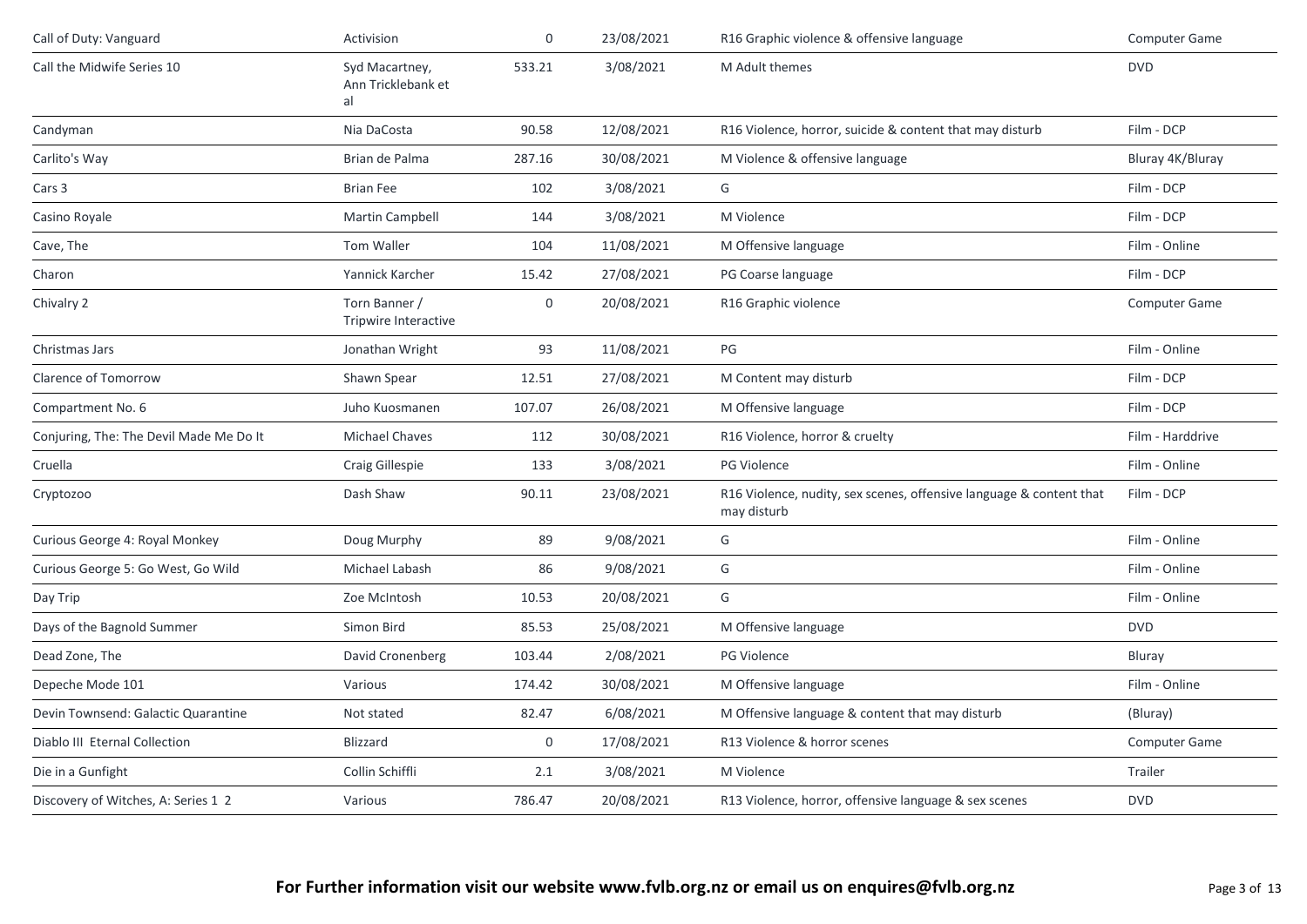| Call of Duty: Vanguard                  | Activision                                 | $\boldsymbol{0}$ | 23/08/2021 | R16 Graphic violence & offensive language                                          | <b>Computer Game</b> |
|-----------------------------------------|--------------------------------------------|------------------|------------|------------------------------------------------------------------------------------|----------------------|
| Call the Midwife Series 10              | Syd Macartney,<br>Ann Tricklebank et<br>al | 533.21           | 3/08/2021  | M Adult themes                                                                     | <b>DVD</b>           |
| Candyman                                | Nia DaCosta                                | 90.58            | 12/08/2021 | R16 Violence, horror, suicide & content that may disturb                           | Film - DCP           |
| Carlito's Way                           | Brian de Palma                             | 287.16           | 30/08/2021 | M Violence & offensive language                                                    | Bluray 4K/Bluray     |
| Cars 3                                  | <b>Brian Fee</b>                           | 102              | 3/08/2021  | G                                                                                  | Film - DCP           |
| Casino Royale                           | Martin Campbell                            | 144              | 3/08/2021  | M Violence                                                                         | Film - DCP           |
| Cave, The                               | Tom Waller                                 | 104              | 11/08/2021 | M Offensive language                                                               | Film - Online        |
| Charon                                  | Yannick Karcher                            | 15.42            | 27/08/2021 | PG Coarse language                                                                 | Film - DCP           |
| Chivalry 2                              | Torn Banner /<br>Tripwire Interactive      | 0                | 20/08/2021 | R16 Graphic violence                                                               | Computer Game        |
| Christmas Jars                          | Jonathan Wright                            | 93               | 11/08/2021 | PG                                                                                 | Film - Online        |
| Clarence of Tomorrow                    | Shawn Spear                                | 12.51            | 27/08/2021 | M Content may disturb                                                              | Film - DCP           |
| Compartment No. 6                       | Juho Kuosmanen                             | 107.07           | 26/08/2021 | M Offensive language                                                               | Film - DCP           |
| Conjuring, The: The Devil Made Me Do It | <b>Michael Chaves</b>                      | 112              | 30/08/2021 | R16 Violence, horror & cruelty                                                     | Film - Harddrive     |
| Cruella                                 | Craig Gillespie                            | 133              | 3/08/2021  | PG Violence                                                                        | Film - Online        |
| Cryptozoo                               | Dash Shaw                                  | 90.11            | 23/08/2021 | R16 Violence, nudity, sex scenes, offensive language & content that<br>may disturb | Film - DCP           |
| Curious George 4: Royal Monkey          | Doug Murphy                                | 89               | 9/08/2021  | G                                                                                  | Film - Online        |
| Curious George 5: Go West, Go Wild      | Michael Labash                             | 86               | 9/08/2021  | G                                                                                  | Film - Online        |
| Day Trip                                | Zoe McIntosh                               | 10.53            | 20/08/2021 | G                                                                                  | Film - Online        |
| Days of the Bagnold Summer              | Simon Bird                                 | 85.53            | 25/08/2021 | M Offensive language                                                               | <b>DVD</b>           |
| Dead Zone, The                          | David Cronenberg                           | 103.44           | 2/08/2021  | <b>PG Violence</b>                                                                 | Bluray               |
| Depeche Mode 101                        | Various                                    | 174.42           | 30/08/2021 | M Offensive language                                                               | Film - Online        |
| Devin Townsend: Galactic Quarantine     | Not stated                                 | 82.47            | 6/08/2021  | M Offensive language & content that may disturb                                    | (Bluray)             |
| Diablo III Eternal Collection           | <b>Blizzard</b>                            | 0                | 17/08/2021 | R13 Violence & horror scenes                                                       | <b>Computer Game</b> |
| Die in a Gunfight                       | Collin Schiffli                            | 2.1              | 3/08/2021  | M Violence                                                                         | Trailer              |
| Discovery of Witches, A: Series 1 2     | Various                                    | 786.47           | 20/08/2021 | R13 Violence, horror, offensive language & sex scenes                              | <b>DVD</b>           |
|                                         |                                            |                  |            |                                                                                    |                      |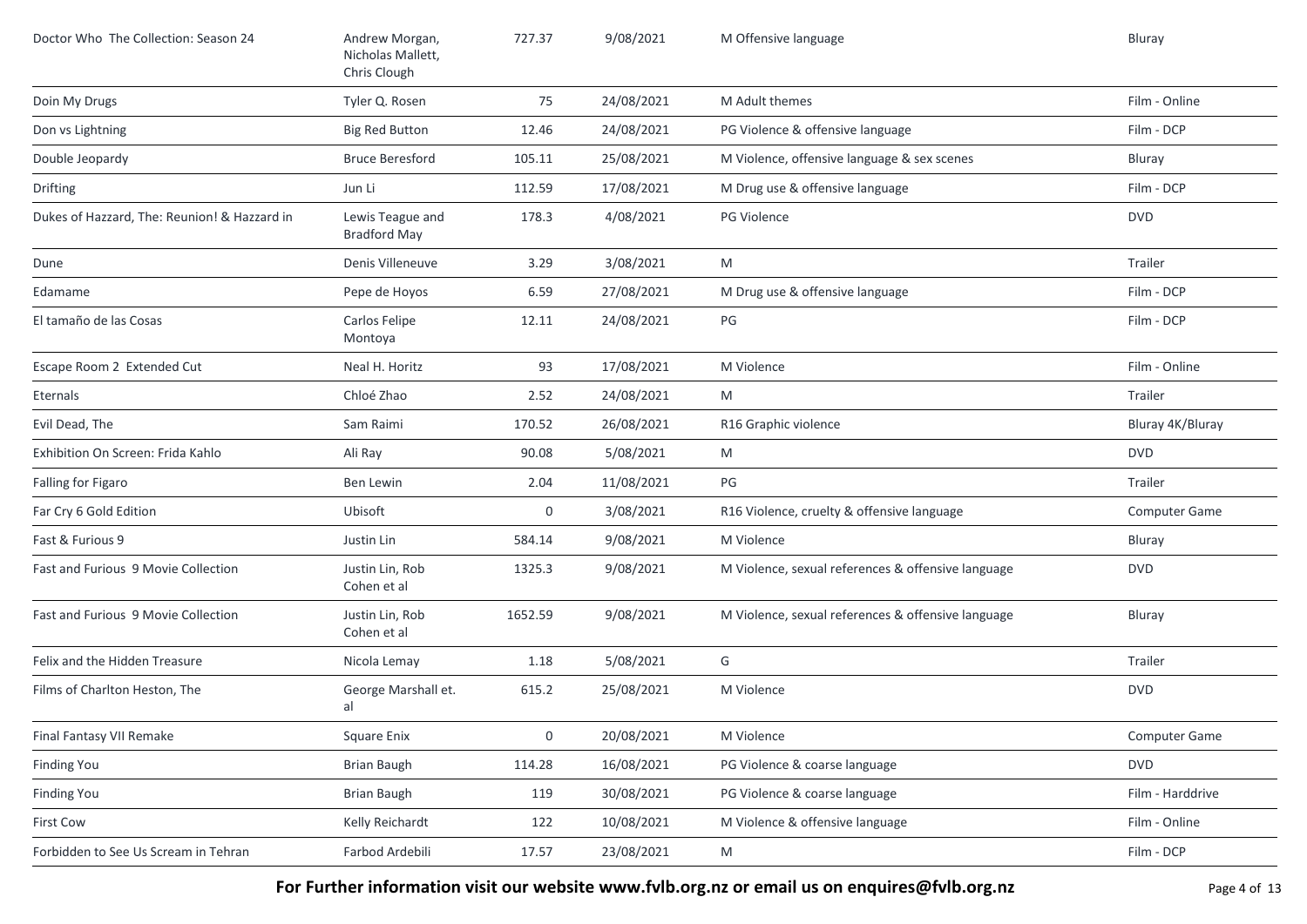| Doctor Who The Collection: Season 24         | Andrew Morgan,<br>Nicholas Mallett,<br>Chris Clough | 727.37           | 9/08/2021  | M Offensive language                               | Bluray           |
|----------------------------------------------|-----------------------------------------------------|------------------|------------|----------------------------------------------------|------------------|
| Doin My Drugs                                | Tyler Q. Rosen                                      | 75               | 24/08/2021 | M Adult themes                                     | Film - Online    |
| Don vs Lightning                             | <b>Big Red Button</b>                               | 12.46            | 24/08/2021 | PG Violence & offensive language                   | Film - DCP       |
| Double Jeopardy                              | <b>Bruce Beresford</b>                              | 105.11           | 25/08/2021 | M Violence, offensive language & sex scenes        | Bluray           |
| Drifting                                     | Jun Li                                              | 112.59           | 17/08/2021 | M Drug use & offensive language                    | Film - DCP       |
| Dukes of Hazzard, The: Reunion! & Hazzard in | Lewis Teague and<br><b>Bradford May</b>             | 178.3            | 4/08/2021  | PG Violence                                        | <b>DVD</b>       |
| Dune                                         | Denis Villeneuve                                    | 3.29             | 3/08/2021  | M                                                  | Trailer          |
| Edamame                                      | Pepe de Hoyos                                       | 6.59             | 27/08/2021 | M Drug use & offensive language                    | Film - DCP       |
| El tamaño de las Cosas                       | Carlos Felipe<br>Montoya                            | 12.11            | 24/08/2021 | PG                                                 | Film - DCP       |
| Escape Room 2 Extended Cut                   | Neal H. Horitz                                      | 93               | 17/08/2021 | M Violence                                         | Film - Online    |
| Eternals                                     | Chloé Zhao                                          | 2.52             | 24/08/2021 | M                                                  | Trailer          |
| Evil Dead, The                               | Sam Raimi                                           | 170.52           | 26/08/2021 | R16 Graphic violence                               | Bluray 4K/Bluray |
| Exhibition On Screen: Frida Kahlo            | Ali Ray                                             | 90.08            | 5/08/2021  | M                                                  | <b>DVD</b>       |
| Falling for Figaro                           | Ben Lewin                                           | 2.04             | 11/08/2021 | PG                                                 | Trailer          |
| Far Cry 6 Gold Edition                       | Ubisoft                                             | 0                | 3/08/2021  | R16 Violence, cruelty & offensive language         | Computer Game    |
| Fast & Furious 9                             | Justin Lin                                          | 584.14           | 9/08/2021  | M Violence                                         | Bluray           |
| Fast and Furious 9 Movie Collection          | Justin Lin, Rob<br>Cohen et al                      | 1325.3           | 9/08/2021  | M Violence, sexual references & offensive language | <b>DVD</b>       |
| Fast and Furious 9 Movie Collection          | Justin Lin, Rob<br>Cohen et al                      | 1652.59          | 9/08/2021  | M Violence, sexual references & offensive language | Bluray           |
| Felix and the Hidden Treasure                | Nicola Lemay                                        | 1.18             | 5/08/2021  | G                                                  | Trailer          |
| Films of Charlton Heston, The                | George Marshall et.<br>al                           | 615.2            | 25/08/2021 | M Violence                                         | <b>DVD</b>       |
| Final Fantasy VII Remake                     | Square Enix                                         | $\boldsymbol{0}$ | 20/08/2021 | M Violence                                         | Computer Game    |
| <b>Finding You</b>                           | <b>Brian Baugh</b>                                  | 114.28           | 16/08/2021 | PG Violence & coarse language                      | <b>DVD</b>       |
| <b>Finding You</b>                           | Brian Baugh                                         | 119              | 30/08/2021 | PG Violence & coarse language                      | Film - Harddrive |
| First Cow                                    | Kelly Reichardt                                     | 122              | 10/08/2021 | M Violence & offensive language                    | Film - Online    |
| Forbidden to See Us Scream in Tehran         | Farbod Ardebili                                     | 17.57            | 23/08/2021 | M                                                  | Film - DCP       |

For Further information visit our website www.fvlb.org.nz or email us on enquires@fvlb.org.nz<br>Page 4 of 13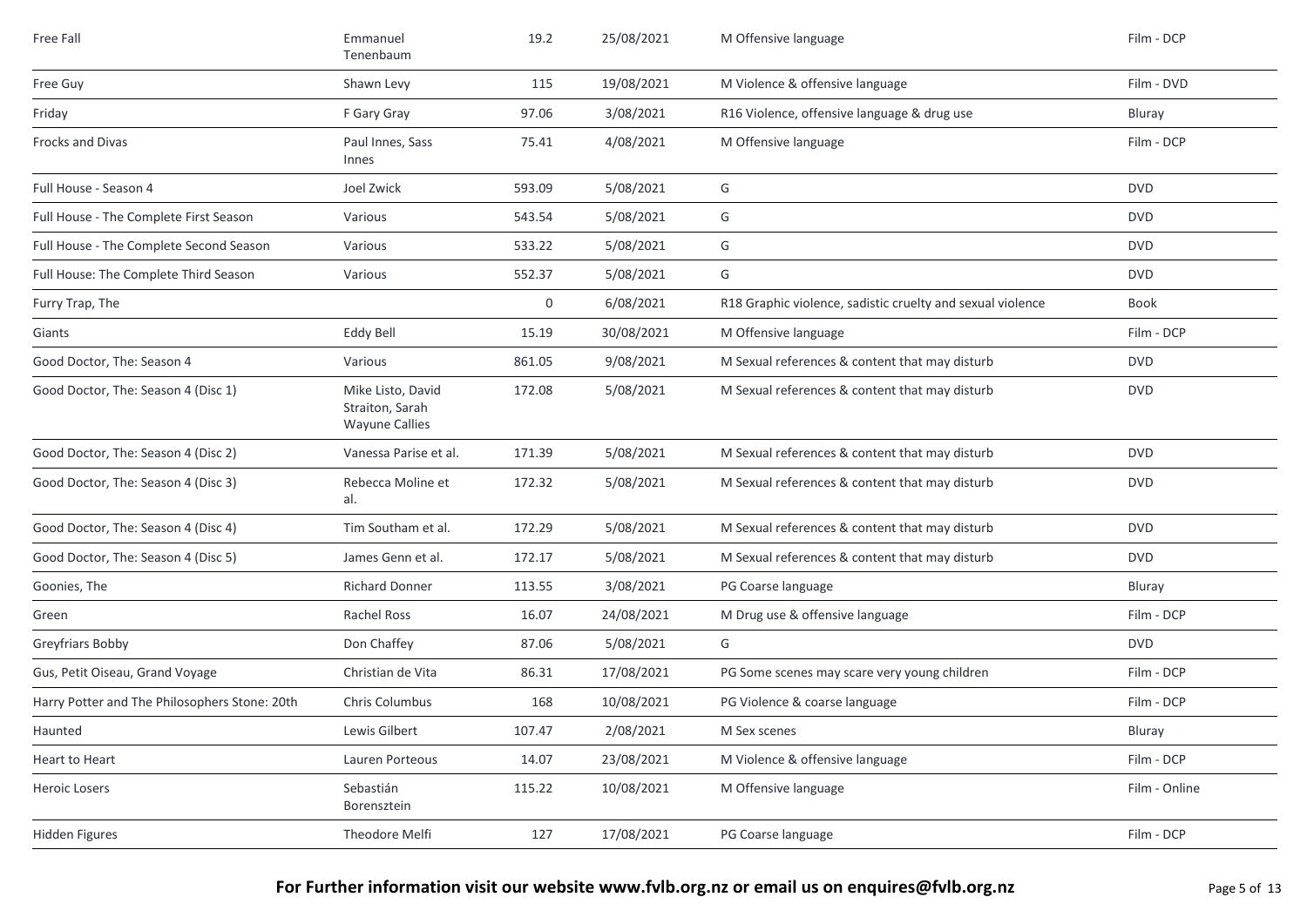| Free Fall                                     | Emmanuel<br>Tenenbaum                                         | 19.2   | 25/08/2021 | M Offensive language                                       | Film - DCP    |
|-----------------------------------------------|---------------------------------------------------------------|--------|------------|------------------------------------------------------------|---------------|
| Free Guy                                      | Shawn Levy                                                    | 115    | 19/08/2021 | M Violence & offensive language                            | Film - DVD    |
| Friday                                        | F Gary Gray                                                   | 97.06  | 3/08/2021  | R16 Violence, offensive language & drug use                | Bluray        |
| Frocks and Divas                              | Paul Innes, Sass<br>Innes                                     | 75.41  | 4/08/2021  | M Offensive language                                       | Film - DCP    |
| Full House - Season 4                         | Joel Zwick                                                    | 593.09 | 5/08/2021  | G                                                          | <b>DVD</b>    |
| Full House - The Complete First Season        | Various                                                       | 543.54 | 5/08/2021  | G                                                          | <b>DVD</b>    |
| Full House - The Complete Second Season       | Various                                                       | 533.22 | 5/08/2021  | G                                                          | <b>DVD</b>    |
| Full House: The Complete Third Season         | Various                                                       | 552.37 | 5/08/2021  | G                                                          | <b>DVD</b>    |
| Furry Trap, The                               |                                                               | 0      | 6/08/2021  | R18 Graphic violence, sadistic cruelty and sexual violence | Book          |
| Giants                                        | Eddy Bell                                                     | 15.19  | 30/08/2021 | M Offensive language                                       | Film - DCP    |
| Good Doctor, The: Season 4                    | Various                                                       | 861.05 | 9/08/2021  | M Sexual references & content that may disturb             | <b>DVD</b>    |
| Good Doctor, The: Season 4 (Disc 1)           | Mike Listo, David<br>Straiton, Sarah<br><b>Wayune Callies</b> | 172.08 | 5/08/2021  | M Sexual references & content that may disturb             | <b>DVD</b>    |
| Good Doctor, The: Season 4 (Disc 2)           | Vanessa Parise et al.                                         | 171.39 | 5/08/2021  | M Sexual references & content that may disturb             | <b>DVD</b>    |
| Good Doctor, The: Season 4 (Disc 3)           | Rebecca Moline et<br>al.                                      | 172.32 | 5/08/2021  | M Sexual references & content that may disturb             | <b>DVD</b>    |
| Good Doctor, The: Season 4 (Disc 4)           | Tim Southam et al.                                            | 172.29 | 5/08/2021  | M Sexual references & content that may disturb             | <b>DVD</b>    |
| Good Doctor, The: Season 4 (Disc 5)           | James Genn et al.                                             | 172.17 | 5/08/2021  | M Sexual references & content that may disturb             | <b>DVD</b>    |
| Goonies, The                                  | <b>Richard Donner</b>                                         | 113.55 | 3/08/2021  | PG Coarse language                                         | Bluray        |
| Green                                         | Rachel Ross                                                   | 16.07  | 24/08/2021 | M Drug use & offensive language                            | Film - DCP    |
| Greyfriars Bobby                              | Don Chaffey                                                   | 87.06  | 5/08/2021  | G                                                          | <b>DVD</b>    |
| Gus, Petit Oiseau, Grand Voyage               | Christian de Vita                                             | 86.31  | 17/08/2021 | PG Some scenes may scare very young children               | Film - DCP    |
| Harry Potter and The Philosophers Stone: 20th | Chris Columbus                                                | 168    | 10/08/2021 | PG Violence & coarse language                              | Film - DCP    |
| Haunted                                       | Lewis Gilbert                                                 | 107.47 | 2/08/2021  | M Sex scenes                                               | Bluray        |
| Heart to Heart                                | Lauren Porteous                                               | 14.07  | 23/08/2021 | M Violence & offensive language                            | Film - DCP    |
| Heroic Losers                                 | Sebastián<br>Borensztein                                      | 115.22 | 10/08/2021 | M Offensive language                                       | Film - Online |
| Hidden Figures                                | Theodore Melfi                                                | 127    | 17/08/2021 | PG Coarse language                                         | Film - DCP    |
|                                               |                                                               |        |            |                                                            |               |

## For Further information visit our website www.fvlb.org.nz or email us on enquires@fvlb.org.nz<br>Page 5 of 13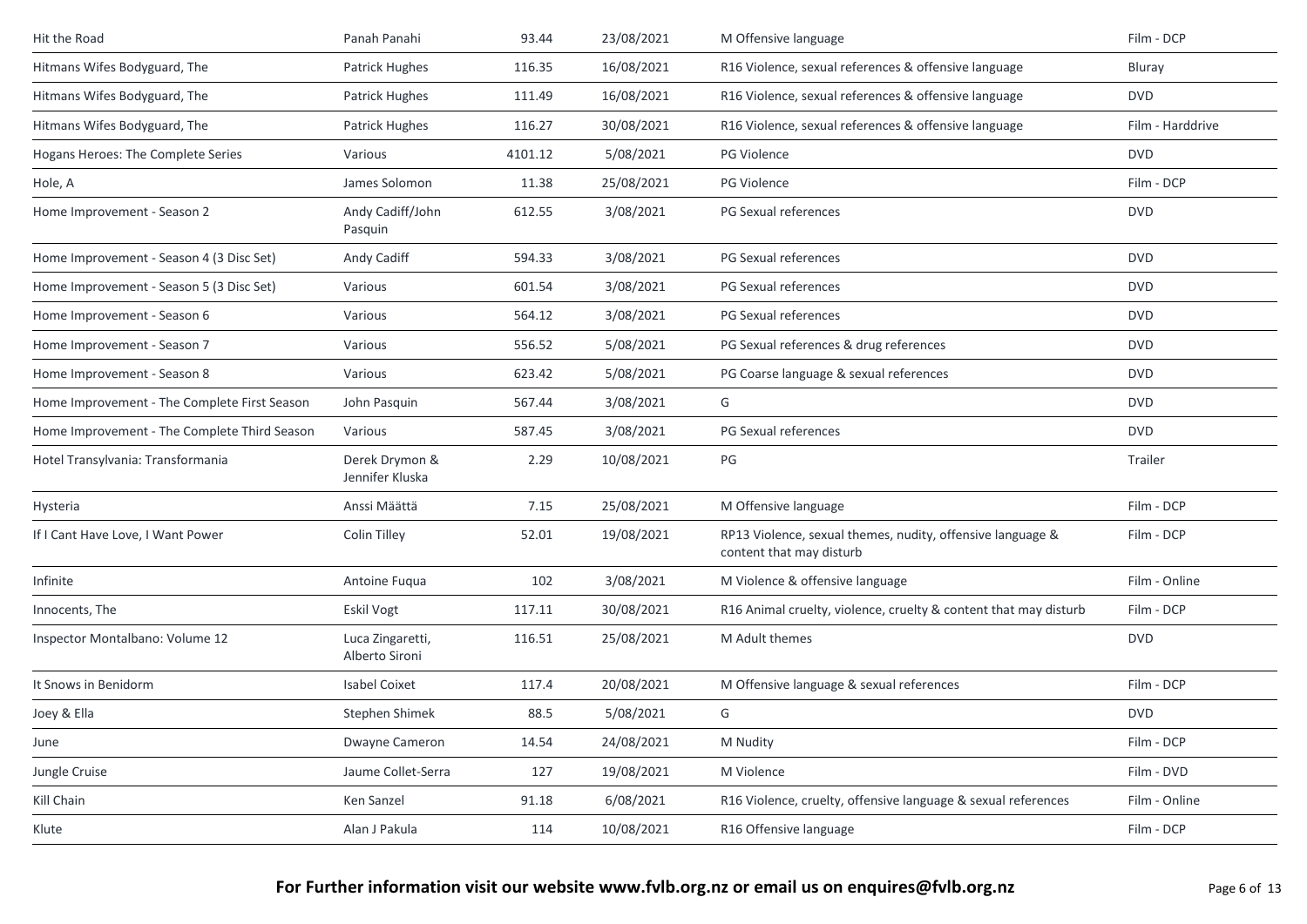| Hit the Road                                 | Panah Panahi                       | 93.44   | 23/08/2021 | M Offensive language                                                                   | Film - DCP       |
|----------------------------------------------|------------------------------------|---------|------------|----------------------------------------------------------------------------------------|------------------|
| Hitmans Wifes Bodyguard, The                 | Patrick Hughes                     | 116.35  | 16/08/2021 | R16 Violence, sexual references & offensive language                                   | Bluray           |
| Hitmans Wifes Bodyguard, The                 | Patrick Hughes                     | 111.49  | 16/08/2021 | R16 Violence, sexual references & offensive language                                   | <b>DVD</b>       |
| Hitmans Wifes Bodyguard, The                 | Patrick Hughes                     | 116.27  | 30/08/2021 | R16 Violence, sexual references & offensive language                                   | Film - Harddrive |
| Hogans Heroes: The Complete Series           | Various                            | 4101.12 | 5/08/2021  | <b>PG Violence</b>                                                                     | <b>DVD</b>       |
| Hole, A                                      | James Solomon                      | 11.38   | 25/08/2021 | <b>PG Violence</b>                                                                     | Film - DCP       |
| Home Improvement - Season 2                  | Andy Cadiff/John<br>Pasquin        | 612.55  | 3/08/2021  | PG Sexual references                                                                   | <b>DVD</b>       |
| Home Improvement - Season 4 (3 Disc Set)     | Andy Cadiff                        | 594.33  | 3/08/2021  | PG Sexual references                                                                   | <b>DVD</b>       |
| Home Improvement - Season 5 (3 Disc Set)     | Various                            | 601.54  | 3/08/2021  | PG Sexual references                                                                   | <b>DVD</b>       |
| Home Improvement - Season 6                  | Various                            | 564.12  | 3/08/2021  | PG Sexual references                                                                   | <b>DVD</b>       |
| Home Improvement - Season 7                  | Various                            | 556.52  | 5/08/2021  | PG Sexual references & drug references                                                 | <b>DVD</b>       |
| Home Improvement - Season 8                  | Various                            | 623.42  | 5/08/2021  | PG Coarse language & sexual references                                                 | <b>DVD</b>       |
| Home Improvement - The Complete First Season | John Pasquin                       | 567.44  | 3/08/2021  | G                                                                                      | <b>DVD</b>       |
| Home Improvement - The Complete Third Season | Various                            | 587.45  | 3/08/2021  | PG Sexual references                                                                   | <b>DVD</b>       |
| Hotel Transylvania: Transformania            | Derek Drymon &<br>Jennifer Kluska  | 2.29    | 10/08/2021 | PG                                                                                     | Trailer          |
| Hysteria                                     | Anssi Määttä                       | 7.15    | 25/08/2021 | M Offensive language                                                                   | Film - DCP       |
| If I Cant Have Love, I Want Power            | <b>Colin Tilley</b>                | 52.01   | 19/08/2021 | RP13 Violence, sexual themes, nudity, offensive language &<br>content that may disturb | Film - DCP       |
| Infinite                                     | Antoine Fugua                      | 102     | 3/08/2021  | M Violence & offensive language                                                        | Film - Online    |
| Innocents, The                               | Eskil Vogt                         | 117.11  | 30/08/2021 | R16 Animal cruelty, violence, cruelty & content that may disturb                       | Film - DCP       |
| Inspector Montalbano: Volume 12              | Luca Zingaretti,<br>Alberto Sironi | 116.51  | 25/08/2021 | M Adult themes                                                                         | <b>DVD</b>       |
| It Snows in Benidorm                         | <b>Isabel Coixet</b>               | 117.4   | 20/08/2021 | M Offensive language & sexual references                                               | Film - DCP       |
| Joey & Ella                                  | Stephen Shimek                     | 88.5    | 5/08/2021  | G                                                                                      | <b>DVD</b>       |
| June                                         | Dwayne Cameron                     | 14.54   | 24/08/2021 | M Nudity                                                                               | Film - DCP       |
| Jungle Cruise                                | Jaume Collet-Serra                 | 127     | 19/08/2021 | M Violence                                                                             | Film - DVD       |
| Kill Chain                                   | Ken Sanzel                         | 91.18   | 6/08/2021  | R16 Violence, cruelty, offensive language & sexual references                          | Film - Online    |
| Klute                                        | Alan J Pakula                      | 114     | 10/08/2021 | R16 Offensive language                                                                 | Film - DCP       |
|                                              |                                    |         |            |                                                                                        |                  |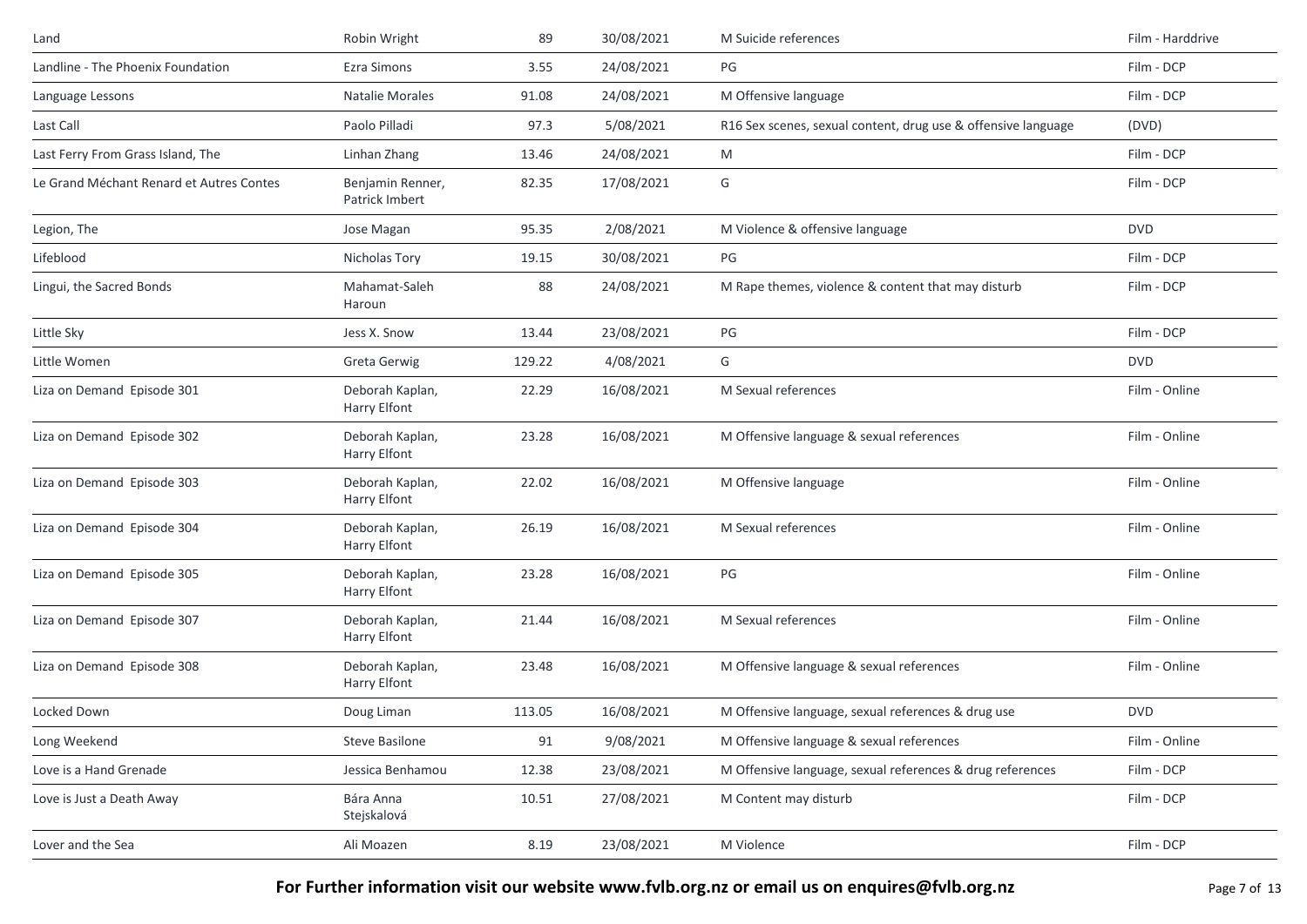| Landline - The Phoenix Foundation<br><b>Ezra Simons</b><br>24/08/2021<br>3.55<br>24/08/2021<br><b>Natalie Morales</b><br>91.08<br>Language Lessons | PG<br>M Offensive language<br>R16 Sex scenes, sexual content, drug use & offensive language<br>M | Film - DCP<br>Film - DCP<br>(DVD) |
|----------------------------------------------------------------------------------------------------------------------------------------------------|--------------------------------------------------------------------------------------------------|-----------------------------------|
|                                                                                                                                                    |                                                                                                  |                                   |
|                                                                                                                                                    |                                                                                                  |                                   |
| Paolo Pilladi<br>5/08/2021<br>Last Call<br>97.3                                                                                                    |                                                                                                  |                                   |
| Last Ferry From Grass Island, The<br>Linhan Zhang<br>24/08/2021<br>13.46                                                                           |                                                                                                  | Film - DCP                        |
| Le Grand Méchant Renard et Autres Contes<br>17/08/2021<br>Benjamin Renner,<br>82.35<br>Patrick Imbert                                              | G                                                                                                | Film - DCP                        |
| 2/08/2021<br>Legion, The<br>Jose Magan<br>95.35                                                                                                    | M Violence & offensive language                                                                  | <b>DVD</b>                        |
| Lifeblood<br>Nicholas Tory<br>19.15<br>30/08/2021                                                                                                  | PG                                                                                               | Film - DCP                        |
| Lingui, the Sacred Bonds<br>Mahamat-Saleh<br>88<br>24/08/2021<br>Haroun                                                                            | M Rape themes, violence & content that may disturb                                               | Film - DCP                        |
| 23/08/2021<br>Little Sky<br>Jess X. Snow<br>13.44                                                                                                  | PG                                                                                               | Film - DCP                        |
| 4/08/2021<br>Little Women<br>Greta Gerwig<br>129.22                                                                                                | G                                                                                                | <b>DVD</b>                        |
| Liza on Demand Episode 301<br>Deborah Kaplan,<br>16/08/2021<br>22.29<br><b>Harry Elfont</b>                                                        | M Sexual references                                                                              | Film - Online                     |
| Liza on Demand Episode 302<br>Deborah Kaplan,<br>16/08/2021<br>23.28<br><b>Harry Elfont</b>                                                        | M Offensive language & sexual references                                                         | Film - Online                     |
| Liza on Demand Episode 303<br>Deborah Kaplan,<br>22.02<br>16/08/2021<br><b>Harry Elfont</b>                                                        | M Offensive language                                                                             | Film - Online                     |
| Liza on Demand Episode 304<br>Deborah Kaplan,<br>26.19<br>16/08/2021<br>Harry Elfont                                                               | M Sexual references                                                                              | Film - Online                     |
| Deborah Kaplan,<br>16/08/2021<br>Liza on Demand Episode 305<br>23.28<br>Harry Elfont                                                               | PG                                                                                               | Film - Online                     |
| Liza on Demand Episode 307<br>Deborah Kaplan,<br>16/08/2021<br>21.44<br>Harry Elfont                                                               | M Sexual references                                                                              | Film - Online                     |
| Deborah Kaplan,<br>16/08/2021<br>Liza on Demand Episode 308<br>23.48<br><b>Harry Elfont</b>                                                        | M Offensive language & sexual references                                                         | Film - Online                     |
| Locked Down<br>16/08/2021<br>Doug Liman<br>113.05                                                                                                  | M Offensive language, sexual references & drug use                                               | <b>DVD</b>                        |
| 9/08/2021<br>Long Weekend<br>Steve Basilone<br>91                                                                                                  | M Offensive language & sexual references                                                         | Film - Online                     |
| Love is a Hand Grenade<br>Jessica Benhamou<br>23/08/2021<br>12.38                                                                                  | M Offensive language, sexual references & drug references                                        | Film - DCP                        |
| Bára Anna<br>27/08/2021<br>Love is Just a Death Away<br>10.51<br>Stejskalová                                                                       | M Content may disturb                                                                            | Film - DCP                        |
| Lover and the Sea<br>Ali Moazen<br>8.19<br>23/08/2021                                                                                              | M Violence                                                                                       | Film - DCP                        |

For Further information visit our website www.fvlb.org.nz or email us on enquires@fvlb.org.nz<br>Page 7 of 13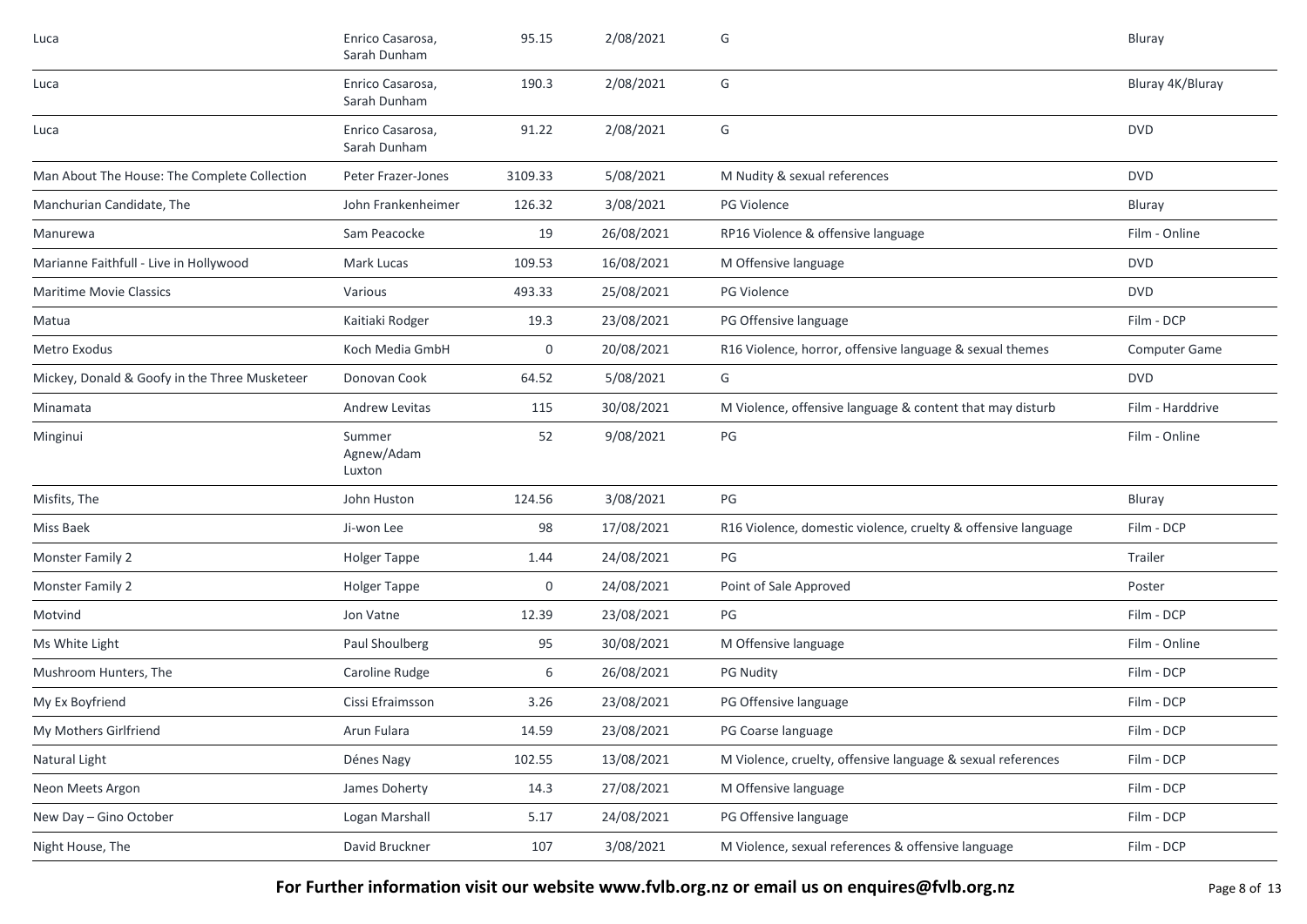| Luca                                          | Enrico Casarosa,<br>Sarah Dunham | 95.15   | 2/08/2021  | G                                                             | Bluray               |
|-----------------------------------------------|----------------------------------|---------|------------|---------------------------------------------------------------|----------------------|
| Luca                                          | Enrico Casarosa,<br>Sarah Dunham | 190.3   | 2/08/2021  | G                                                             | Bluray 4K/Bluray     |
| Luca                                          | Enrico Casarosa,<br>Sarah Dunham | 91.22   | 2/08/2021  | G                                                             | <b>DVD</b>           |
| Man About The House: The Complete Collection  | Peter Frazer-Jones               | 3109.33 | 5/08/2021  | M Nudity & sexual references                                  | <b>DVD</b>           |
| Manchurian Candidate, The                     | John Frankenheimer               | 126.32  | 3/08/2021  | <b>PG Violence</b>                                            | Bluray               |
| Manurewa                                      | Sam Peacocke                     | 19      | 26/08/2021 | RP16 Violence & offensive language                            | Film - Online        |
| Marianne Faithfull - Live in Hollywood        | Mark Lucas                       | 109.53  | 16/08/2021 | M Offensive language                                          | <b>DVD</b>           |
| <b>Maritime Movie Classics</b>                | Various                          | 493.33  | 25/08/2021 | PG Violence                                                   | <b>DVD</b>           |
| Matua                                         | Kaitiaki Rodger                  | 19.3    | 23/08/2021 | PG Offensive language                                         | Film - DCP           |
| Metro Exodus                                  | Koch Media GmbH                  | 0       | 20/08/2021 | R16 Violence, horror, offensive language & sexual themes      | <b>Computer Game</b> |
| Mickey, Donald & Goofy in the Three Musketeer | Donovan Cook                     | 64.52   | 5/08/2021  | G                                                             | <b>DVD</b>           |
| Minamata                                      | Andrew Levitas                   | 115     | 30/08/2021 | M Violence, offensive language & content that may disturb     | Film - Harddrive     |
| Minginui                                      | Summer<br>Agnew/Adam<br>Luxton   | 52      | 9/08/2021  | $\mathsf{PG}$                                                 | Film - Online        |
| Misfits, The                                  | John Huston                      | 124.56  | 3/08/2021  | PG                                                            | Bluray               |
| Miss Baek                                     | Ji-won Lee                       | 98      | 17/08/2021 | R16 Violence, domestic violence, cruelty & offensive language | Film - DCP           |
| Monster Family 2                              | <b>Holger Tappe</b>              | 1.44    | 24/08/2021 | PG                                                            | Trailer              |
| Monster Family 2                              | <b>Holger Tappe</b>              | 0       | 24/08/2021 | Point of Sale Approved                                        | Poster               |
| Motvind                                       | Jon Vatne                        | 12.39   | 23/08/2021 | PG                                                            | Film - DCP           |
| Ms White Light                                | Paul Shoulberg                   | 95      | 30/08/2021 | M Offensive language                                          | Film - Online        |
| Mushroom Hunters, The                         | Caroline Rudge                   | 6       | 26/08/2021 | <b>PG Nudity</b>                                              | Film - DCP           |
| My Ex Boyfriend                               | Cissi Efraimsson                 | 3.26    | 23/08/2021 | PG Offensive language                                         | Film - DCP           |
| My Mothers Girlfriend                         | Arun Fulara                      | 14.59   | 23/08/2021 | PG Coarse language                                            | Film - DCP           |
| Natural Light                                 | Dénes Nagy                       | 102.55  | 13/08/2021 | M Violence, cruelty, offensive language & sexual references   | Film - DCP           |
| Neon Meets Argon                              | James Doherty                    | 14.3    | 27/08/2021 | M Offensive language                                          | Film - DCP           |
| New Day - Gino October                        | Logan Marshall                   | 5.17    | 24/08/2021 | PG Offensive language                                         | Film - DCP           |
| Night House, The                              | David Bruckner                   | 107     | 3/08/2021  | M Violence, sexual references & offensive language            | Film - DCP           |

For Further information visit our website www.fvlb.org.nz or email us on enquires@fvlb.org.nz<br>Page 8 of 13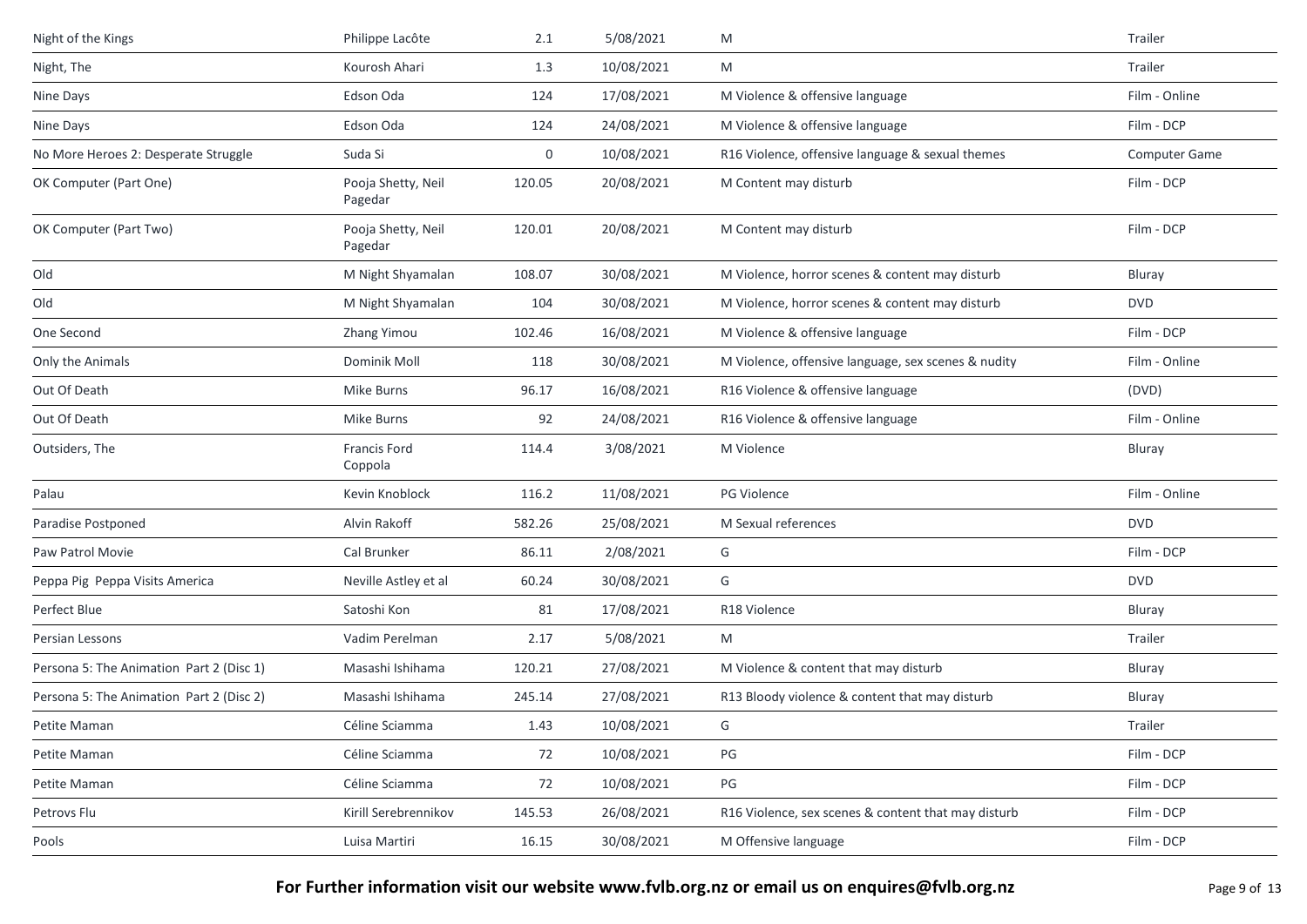| Night of the Kings                       | Philippe Lacôte                | 2.1    | 5/08/2021  | M                                                   | Trailer       |
|------------------------------------------|--------------------------------|--------|------------|-----------------------------------------------------|---------------|
| Night, The                               | Kourosh Ahari                  | 1.3    | 10/08/2021 | M                                                   | Trailer       |
| Nine Days                                | Edson Oda                      | 124    | 17/08/2021 | M Violence & offensive language                     | Film - Online |
| Nine Days                                | Edson Oda                      | 124    | 24/08/2021 | M Violence & offensive language                     | Film - DCP    |
| No More Heroes 2: Desperate Struggle     | Suda Si                        | 0      | 10/08/2021 | R16 Violence, offensive language & sexual themes    | Computer Game |
| OK Computer (Part One)                   | Pooja Shetty, Neil<br>Pagedar  | 120.05 | 20/08/2021 | M Content may disturb                               | Film - DCP    |
| OK Computer (Part Two)                   | Pooja Shetty, Neil<br>Pagedar  | 120.01 | 20/08/2021 | M Content may disturb                               | Film - DCP    |
| Old                                      | M Night Shyamalan              | 108.07 | 30/08/2021 | M Violence, horror scenes & content may disturb     | Bluray        |
| Old                                      | M Night Shyamalan              | 104    | 30/08/2021 | M Violence, horror scenes & content may disturb     | <b>DVD</b>    |
| One Second                               | Zhang Yimou                    | 102.46 | 16/08/2021 | M Violence & offensive language                     | Film - DCP    |
| Only the Animals                         | Dominik Moll                   | 118    | 30/08/2021 | M Violence, offensive language, sex scenes & nudity | Film - Online |
| Out Of Death                             | Mike Burns                     | 96.17  | 16/08/2021 | R16 Violence & offensive language                   | (DVD)         |
| Out Of Death                             | Mike Burns                     | 92     | 24/08/2021 | R16 Violence & offensive language                   | Film - Online |
| Outsiders, The                           | <b>Francis Ford</b><br>Coppola | 114.4  | 3/08/2021  | M Violence                                          | Bluray        |
| Palau                                    | Kevin Knoblock                 | 116.2  | 11/08/2021 | PG Violence                                         | Film - Online |
| Paradise Postponed                       | Alvin Rakoff                   | 582.26 | 25/08/2021 | M Sexual references                                 | <b>DVD</b>    |
| Paw Patrol Movie                         | Cal Brunker                    | 86.11  | 2/08/2021  | G                                                   | Film - DCP    |
| Peppa Pig Peppa Visits America           | Neville Astley et al           | 60.24  | 30/08/2021 | G                                                   | <b>DVD</b>    |
| Perfect Blue                             | Satoshi Kon                    | 81     | 17/08/2021 | R18 Violence                                        | Bluray        |
| Persian Lessons                          | Vadim Perelman                 | 2.17   | 5/08/2021  | M                                                   | Trailer       |
| Persona 5: The Animation Part 2 (Disc 1) | Masashi Ishihama               | 120.21 | 27/08/2021 | M Violence & content that may disturb               | Bluray        |
| Persona 5: The Animation Part 2 (Disc 2) | Masashi Ishihama               | 245.14 | 27/08/2021 | R13 Bloody violence & content that may disturb      | Bluray        |
| Petite Maman                             | Céline Sciamma                 | 1.43   | 10/08/2021 | G                                                   | Trailer       |
| Petite Maman                             | Céline Sciamma                 | 72     | 10/08/2021 | PG                                                  | Film - DCP    |
| Petite Maman                             | Céline Sciamma                 | 72     | 10/08/2021 | PG                                                  | Film - DCP    |
| Petrovs Flu                              | Kirill Serebrennikov           | 145.53 | 26/08/2021 | R16 Violence, sex scenes & content that may disturb | Film - DCP    |
| Pools                                    | Luisa Martiri                  | 16.15  | 30/08/2021 | M Offensive language                                | Film - DCP    |

**For Further information visit our website www.fvlb.org.nz or email us on enquires@fvlb.org.nz** Page 9 of 13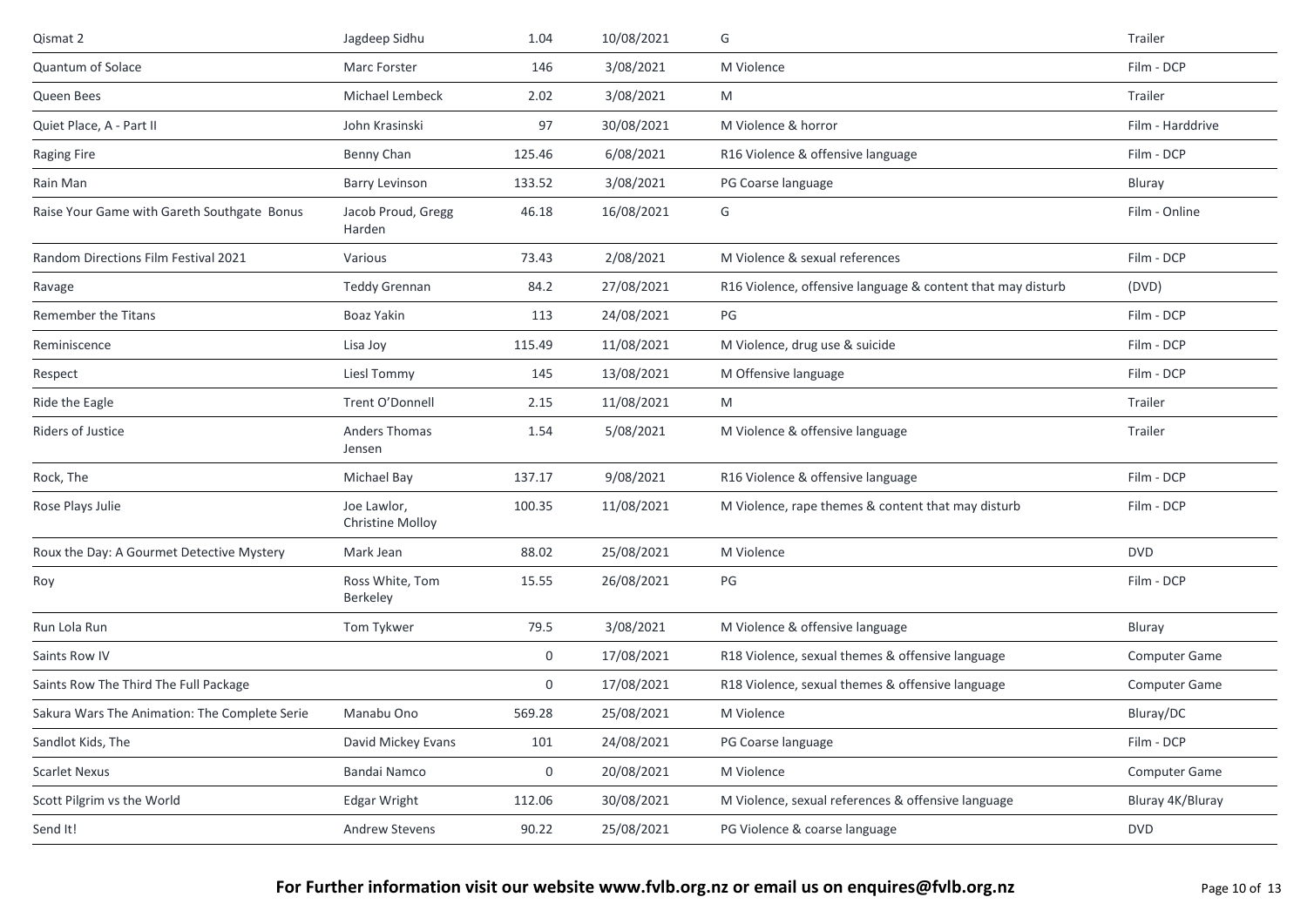| Qismat 2                                      | Jagdeep Sidhu                          | 1.04             | 10/08/2021 | G                                                           | Trailer          |
|-----------------------------------------------|----------------------------------------|------------------|------------|-------------------------------------------------------------|------------------|
| Quantum of Solace                             | Marc Forster                           | 146              | 3/08/2021  | M Violence                                                  | Film - DCP       |
| Queen Bees                                    | Michael Lembeck                        | 2.02             | 3/08/2021  | M                                                           | Trailer          |
| Quiet Place, A - Part II                      | John Krasinski                         | 97               | 30/08/2021 | M Violence & horror                                         | Film - Harddrive |
| <b>Raging Fire</b>                            | Benny Chan                             | 125.46           | 6/08/2021  | R16 Violence & offensive language                           | Film - DCP       |
| Rain Man                                      | <b>Barry Levinson</b>                  | 133.52           | 3/08/2021  | PG Coarse language                                          | Bluray           |
| Raise Your Game with Gareth Southgate Bonus   | Jacob Proud, Gregg<br>Harden           | 46.18            | 16/08/2021 | G                                                           | Film - Online    |
| Random Directions Film Festival 2021          | Various                                | 73.43            | 2/08/2021  | M Violence & sexual references                              | Film - DCP       |
| Ravage                                        | <b>Teddy Grennan</b>                   | 84.2             | 27/08/2021 | R16 Violence, offensive language & content that may disturb | (DVD)            |
| <b>Remember the Titans</b>                    | Boaz Yakin                             | 113              | 24/08/2021 | PG                                                          | Film - DCP       |
| Reminiscence                                  | Lisa Joy                               | 115.49           | 11/08/2021 | M Violence, drug use & suicide                              | Film - DCP       |
| Respect                                       | Liesl Tommy                            | 145              | 13/08/2021 | M Offensive language                                        | Film - DCP       |
| Ride the Eagle                                | Trent O'Donnell                        | 2.15             | 11/08/2021 | M                                                           | Trailer          |
| <b>Riders of Justice</b>                      | Anders Thomas<br>Jensen                | 1.54             | 5/08/2021  | M Violence & offensive language                             | Trailer          |
| Rock, The                                     | Michael Bay                            | 137.17           | 9/08/2021  | R16 Violence & offensive language                           | Film - DCP       |
| Rose Plays Julie                              | Joe Lawlor,<br><b>Christine Molloy</b> | 100.35           | 11/08/2021 | M Violence, rape themes & content that may disturb          | Film - DCP       |
| Roux the Day: A Gourmet Detective Mystery     | Mark Jean                              | 88.02            | 25/08/2021 | M Violence                                                  | <b>DVD</b>       |
| Roy                                           | Ross White, Tom<br>Berkeley            | 15.55            | 26/08/2021 | PG                                                          | Film - DCP       |
| Run Lola Run                                  | Tom Tykwer                             | 79.5             | 3/08/2021  | M Violence & offensive language                             | Bluray           |
| Saints Row IV                                 |                                        | 0                | 17/08/2021 | R18 Violence, sexual themes & offensive language            | Computer Game    |
| Saints Row The Third The Full Package         |                                        | 0                | 17/08/2021 | R18 Violence, sexual themes & offensive language            | Computer Game    |
| Sakura Wars The Animation: The Complete Serie | Manabu Ono                             | 569.28           | 25/08/2021 | M Violence                                                  | Bluray/DC        |
| Sandlot Kids, The                             | David Mickey Evans                     | 101              | 24/08/2021 | PG Coarse language                                          | Film - DCP       |
| <b>Scarlet Nexus</b>                          | Bandai Namco                           | $\boldsymbol{0}$ | 20/08/2021 | M Violence                                                  | Computer Game    |
| Scott Pilgrim vs the World                    | Edgar Wright                           | 112.06           | 30/08/2021 | M Violence, sexual references & offensive language          | Bluray 4K/Bluray |
| Send It!                                      | Andrew Stevens                         | 90.22            | 25/08/2021 | PG Violence & coarse language                               | DVD              |
|                                               |                                        |                  |            |                                                             |                  |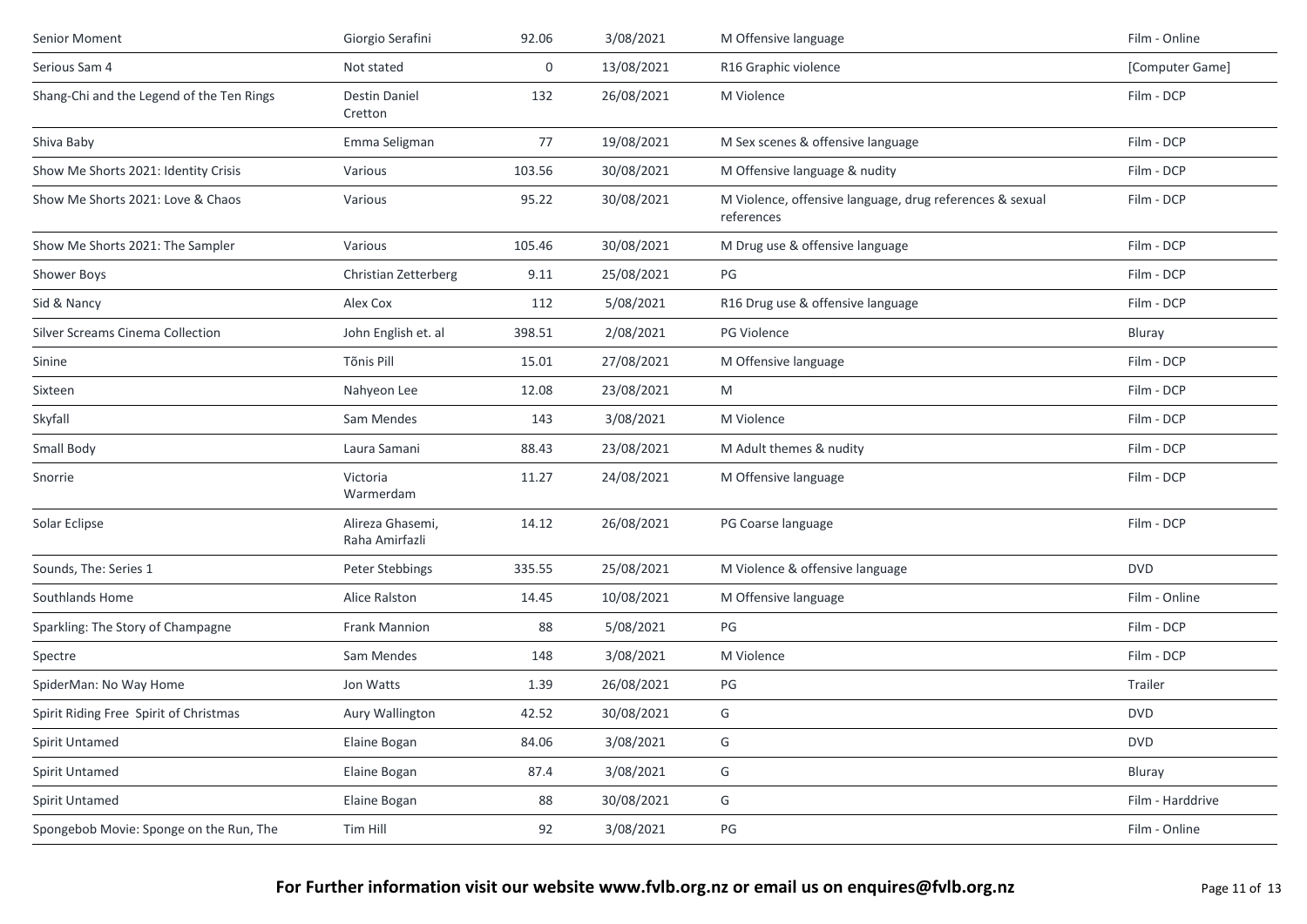| Senior Moment                             | Giorgio Serafini                   | 92.06       | 3/08/2021  | M Offensive language                                                   | Film - Online    |
|-------------------------------------------|------------------------------------|-------------|------------|------------------------------------------------------------------------|------------------|
| Serious Sam 4                             | Not stated                         | $\mathbf 0$ | 13/08/2021 | R16 Graphic violence                                                   | [Computer Game]  |
| Shang-Chi and the Legend of the Ten Rings | Destin Daniel<br>Cretton           | 132         | 26/08/2021 | M Violence                                                             | Film - DCP       |
| Shiva Baby                                | Emma Seligman                      | 77          | 19/08/2021 | M Sex scenes & offensive language                                      | Film - DCP       |
| Show Me Shorts 2021: Identity Crisis      | Various                            | 103.56      | 30/08/2021 | M Offensive language & nudity                                          | Film - DCP       |
| Show Me Shorts 2021: Love & Chaos         | Various                            | 95.22       | 30/08/2021 | M Violence, offensive language, drug references & sexual<br>references | Film - DCP       |
| Show Me Shorts 2021: The Sampler          | Various                            | 105.46      | 30/08/2021 | M Drug use & offensive language                                        | Film - DCP       |
| Shower Boys                               | Christian Zetterberg               | 9.11        | 25/08/2021 | PG                                                                     | Film - DCP       |
| Sid & Nancy                               | Alex Cox                           | 112         | 5/08/2021  | R16 Drug use & offensive language                                      | Film - DCP       |
| Silver Screams Cinema Collection          | John English et. al                | 398.51      | 2/08/2021  | PG Violence                                                            | Bluray           |
| Sinine                                    | Tõnis Pill                         | 15.01       | 27/08/2021 | M Offensive language                                                   | Film - DCP       |
| Sixteen                                   | Nahyeon Lee                        | 12.08       | 23/08/2021 | M                                                                      | Film - DCP       |
| Skyfall                                   | Sam Mendes                         | 143         | 3/08/2021  | M Violence                                                             | Film - DCP       |
| Small Body                                | Laura Samani                       | 88.43       | 23/08/2021 | M Adult themes & nudity                                                | Film - DCP       |
| Snorrie                                   | Victoria<br>Warmerdam              | 11.27       | 24/08/2021 | M Offensive language                                                   | Film - DCP       |
| Solar Eclipse                             | Alireza Ghasemi,<br>Raha Amirfazli | 14.12       | 26/08/2021 | PG Coarse language                                                     | Film - DCP       |
| Sounds, The: Series 1                     | Peter Stebbings                    | 335.55      | 25/08/2021 | M Violence & offensive language                                        | <b>DVD</b>       |
| Southlands Home                           | Alice Ralston                      | 14.45       | 10/08/2021 | M Offensive language                                                   | Film - Online    |
| Sparkling: The Story of Champagne         | Frank Mannion                      | 88          | 5/08/2021  | PG                                                                     | Film - DCP       |
| Spectre                                   | Sam Mendes                         | 148         | 3/08/2021  | M Violence                                                             | Film - DCP       |
| SpiderMan: No Way Home                    | Jon Watts                          | 1.39        | 26/08/2021 | PG                                                                     | Trailer          |
| Spirit Riding Free Spirit of Christmas    | Aury Wallington                    | 42.52       | 30/08/2021 | G                                                                      | <b>DVD</b>       |
| Spirit Untamed                            | Elaine Bogan                       | 84.06       | 3/08/2021  | G                                                                      | <b>DVD</b>       |
| Spirit Untamed                            | Elaine Bogan                       | 87.4        | 3/08/2021  | G                                                                      | Bluray           |
| Spirit Untamed                            | Elaine Bogan                       | 88          | 30/08/2021 | G                                                                      | Film - Harddrive |
| Spongebob Movie: Sponge on the Run, The   | Tim Hill                           | 92          | 3/08/2021  | $PG$                                                                   | Film - Online    |
|                                           |                                    |             |            |                                                                        |                  |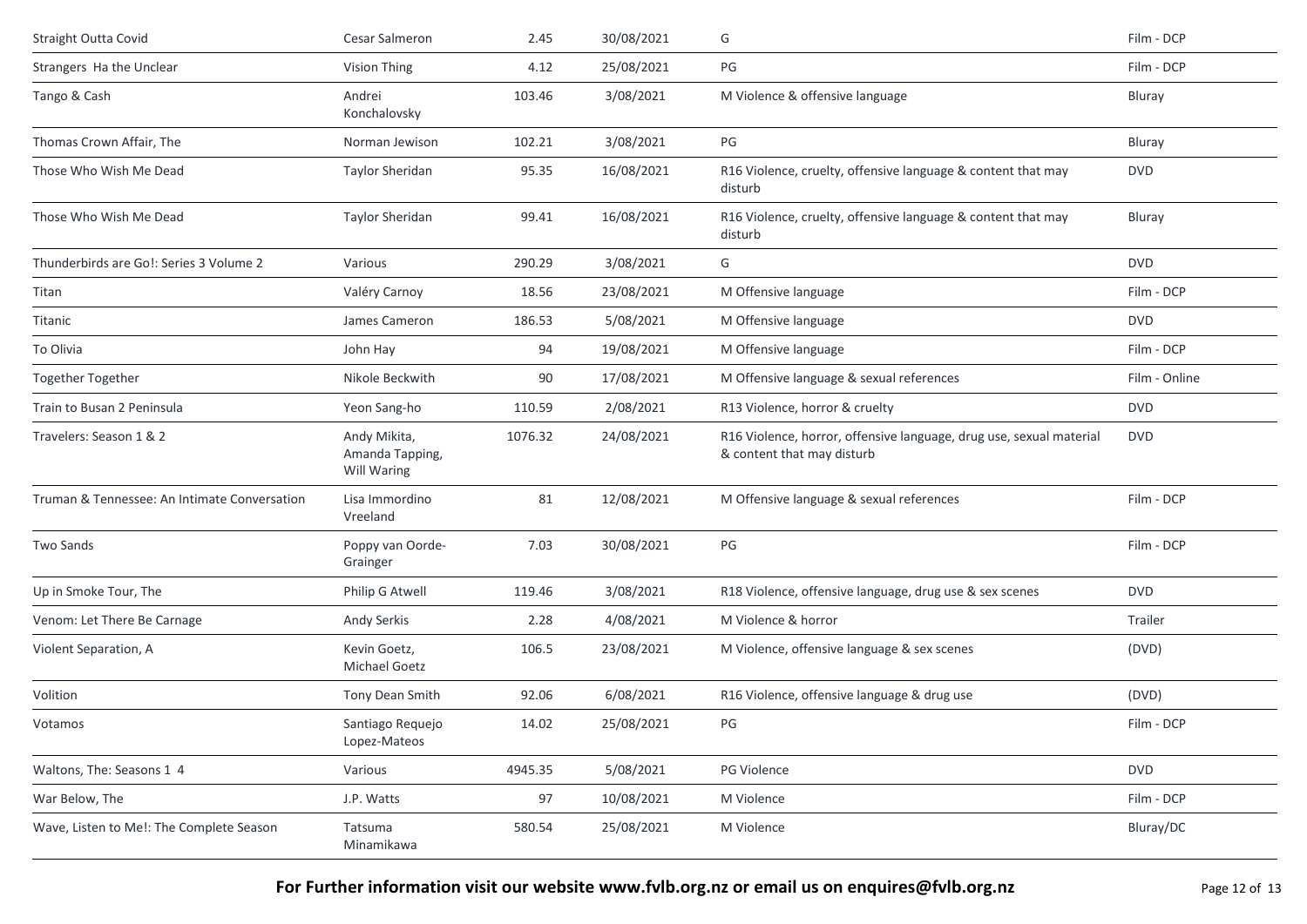| Straight Outta Covid                         | Cesar Salmeron                                 | 2.45    | 30/08/2021 | G                                                                                                 | Film - DCP    |
|----------------------------------------------|------------------------------------------------|---------|------------|---------------------------------------------------------------------------------------------------|---------------|
| Strangers Ha the Unclear                     | Vision Thing                                   | 4.12    | 25/08/2021 | PG                                                                                                | Film - DCP    |
| Tango & Cash                                 | Andrei<br>Konchalovsky                         | 103.46  | 3/08/2021  | M Violence & offensive language                                                                   | Bluray        |
| Thomas Crown Affair, The                     | Norman Jewison                                 | 102.21  | 3/08/2021  | PG                                                                                                | Bluray        |
| Those Who Wish Me Dead                       | <b>Taylor Sheridan</b>                         | 95.35   | 16/08/2021 | R16 Violence, cruelty, offensive language & content that may<br>disturb                           | <b>DVD</b>    |
| Those Who Wish Me Dead                       | Taylor Sheridan                                | 99.41   | 16/08/2021 | R16 Violence, cruelty, offensive language & content that may<br>disturb                           | Bluray        |
| Thunderbirds are Go!: Series 3 Volume 2      | Various                                        | 290.29  | 3/08/2021  | G                                                                                                 | <b>DVD</b>    |
| Titan                                        | Valéry Carnoy                                  | 18.56   | 23/08/2021 | M Offensive language                                                                              | Film - DCP    |
| Titanic                                      | James Cameron                                  | 186.53  | 5/08/2021  | M Offensive language                                                                              | <b>DVD</b>    |
| To Olivia                                    | John Hay                                       | 94      | 19/08/2021 | M Offensive language                                                                              | Film - DCP    |
| <b>Together Together</b>                     | Nikole Beckwith                                | 90      | 17/08/2021 | M Offensive language & sexual references                                                          | Film - Online |
| Train to Busan 2 Peninsula                   | Yeon Sang-ho                                   | 110.59  | 2/08/2021  | R13 Violence, horror & cruelty                                                                    | <b>DVD</b>    |
| Travelers: Season 1 & 2                      | Andy Mikita,<br>Amanda Tapping,<br>Will Waring | 1076.32 | 24/08/2021 | R16 Violence, horror, offensive language, drug use, sexual material<br>& content that may disturb | <b>DVD</b>    |
| Truman & Tennessee: An Intimate Conversation | Lisa Immordino<br>Vreeland                     | 81      | 12/08/2021 | M Offensive language & sexual references                                                          | Film - DCP    |
| Two Sands                                    | Poppy van Oorde-<br>Grainger                   | 7.03    | 30/08/2021 | PG                                                                                                | Film - DCP    |
| Up in Smoke Tour, The                        | Philip G Atwell                                | 119.46  | 3/08/2021  | R18 Violence, offensive language, drug use & sex scenes                                           | <b>DVD</b>    |
| Venom: Let There Be Carnage                  | Andy Serkis                                    | 2.28    | 4/08/2021  | M Violence & horror                                                                               | Trailer       |
| Violent Separation, A                        | Kevin Goetz,<br><b>Michael Goetz</b>           | 106.5   | 23/08/2021 | M Violence, offensive language & sex scenes                                                       | (DVD)         |
| Volition                                     | Tony Dean Smith                                | 92.06   | 6/08/2021  | R16 Violence, offensive language & drug use                                                       | (DVD)         |
| Votamos                                      | Santiago Requejo<br>Lopez-Mateos               | 14.02   | 25/08/2021 | PG                                                                                                | Film - DCP    |
| Waltons, The: Seasons 1 4                    | Various                                        | 4945.35 | 5/08/2021  | PG Violence                                                                                       | <b>DVD</b>    |
| War Below, The                               | J.P. Watts                                     | 97      | 10/08/2021 | M Violence                                                                                        | Film - DCP    |
| Wave, Listen to Me!: The Complete Season     | Tatsuma<br>Minamikawa                          | 580.54  | 25/08/2021 | M Violence                                                                                        | Bluray/DC     |